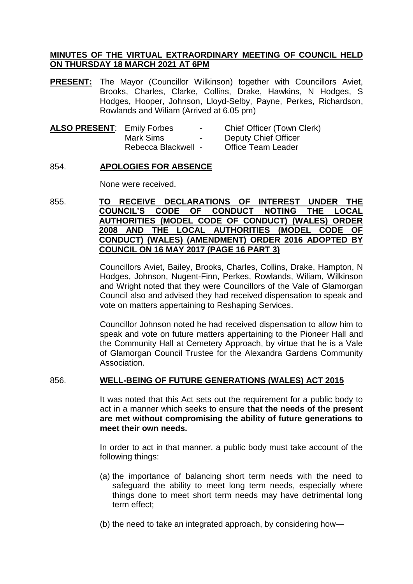# **MINUTES OF THE VIRTUAL EXTRAORDINARY MEETING OF COUNCIL HELD ON THURSDAY 18 MARCH 2021 AT 6PM**

**PRESENT:** The Mayor (Councillor Wilkinson) together with Councillors Aviet, Brooks, Charles, Clarke, Collins, Drake, Hawkins, N Hodges, S Hodges, Hooper, Johnson, Lloyd-Selby, Payne, Perkes, Richardson, Rowlands and Wiliam (Arrived at 6.05 pm)

| <b>ALSO PRESENT: Emily Forbes</b> |                     | $\sim$ | <b>Chief Officer (Town Clerk)</b> |
|-----------------------------------|---------------------|--------|-----------------------------------|
|                                   | Mark Sims           | $\sim$ | Deputy Chief Officer              |
|                                   | Rebecca Blackwell - |        | Office Team Leader                |

# 854. **APOLOGIES FOR ABSENCE**

None were received.

855. **TO RECEIVE DECLARATIONS OF INTEREST UNDER THE COUNCIL'S CODE OF CONDUCT NOTING THE LOCAL AUTHORITIES (MODEL CODE OF CONDUCT) (WALES) ORDER 2008 AND THE LOCAL AUTHORITIES (MODEL CODE OF CONDUCT) (WALES) (AMENDMENT) ORDER 2016 ADOPTED BY COUNCIL ON 16 MAY 2017 (PAGE 16 PART 3)**

> Councillors Aviet, Bailey, Brooks, Charles, Collins, Drake, Hampton, N Hodges, Johnson, Nugent-Finn, Perkes, Rowlands, Wiliam, Wilkinson and Wright noted that they were Councillors of the Vale of Glamorgan Council also and advised they had received dispensation to speak and vote on matters appertaining to Reshaping Services.

> Councillor Johnson noted he had received dispensation to allow him to speak and vote on future matters appertaining to the Pioneer Hall and the Community Hall at Cemetery Approach, by virtue that he is a Vale of Glamorgan Council Trustee for the Alexandra Gardens Community Association.

# 856. **WELL-BEING OF FUTURE GENERATIONS (WALES) ACT 2015**

It was noted that this Act sets out the requirement for a public body to act in a manner which seeks to ensure **that the needs of the present are met without compromising the ability of future generations to meet their own needs.**

In order to act in that manner, a public body must take account of the following things:

- (a) the importance of balancing short term needs with the need to safeguard the ability to meet long term needs, especially where things done to meet short term needs may have detrimental long term effect;
- (b) the need to take an integrated approach, by considering how—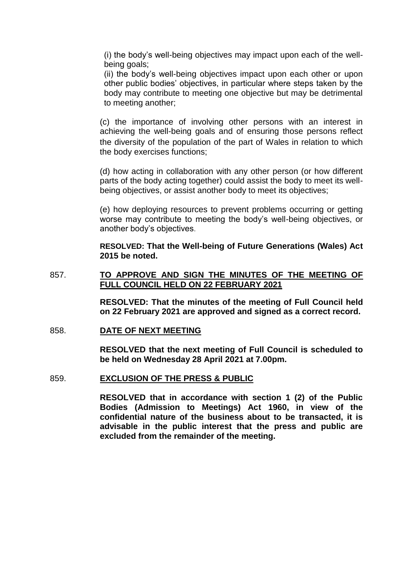(i) the body's well-being objectives may impact upon each of the wellbeing goals;

(ii) the body's well-being objectives impact upon each other or upon other public bodies' objectives, in particular where steps taken by the body may contribute to meeting one objective but may be detrimental to meeting another;

(c) the importance of involving other persons with an interest in achieving the well-being goals and of ensuring those persons reflect the diversity of the population of the part of Wales in relation to which the body exercises functions;

(d) how acting in collaboration with any other person (or how different parts of the body acting together) could assist the body to meet its wellbeing objectives, or assist another body to meet its objectives;

(e) how deploying resources to prevent problems occurring or getting worse may contribute to meeting the body's well-being objectives, or another body's objectives.

**RESOLVED: That the Well-being of Future Generations (Wales) Act 2015 be noted.**

# 857. **TO APPROVE AND SIGN THE MINUTES OF THE MEETING OF FULL COUNCIL HELD ON 22 FEBRUARY 2021**

**RESOLVED: That the minutes of the meeting of Full Council held on 22 February 2021 are approved and signed as a correct record.**

#### 858. **DATE OF NEXT MEETING**

**RESOLVED that the next meeting of Full Council is scheduled to be held on Wednesday 28 April 2021 at 7.00pm.**

#### 859. **EXCLUSION OF THE PRESS & PUBLIC**

**RESOLVED that in accordance with section 1 (2) of the Public Bodies (Admission to Meetings) Act 1960, in view of the confidential nature of the business about to be transacted, it is advisable in the public interest that the press and public are excluded from the remainder of the meeting.**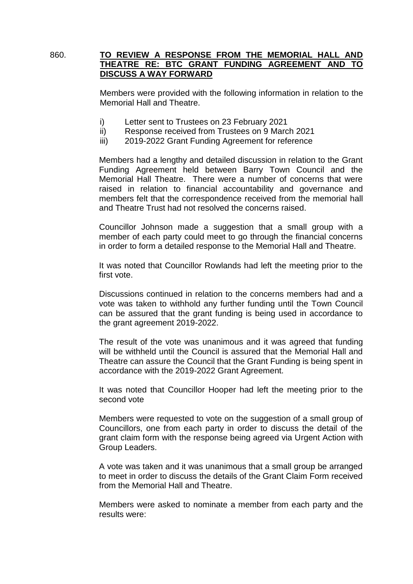## 860. **TO REVIEW A RESPONSE FROM THE MEMORIAL HALL AND THEATRE RE: BTC GRANT FUNDING AGREEMENT AND TO DISCUSS A WAY FORWARD**

Members were provided with the following information in relation to the Memorial Hall and Theatre.

- i) Letter sent to Trustees on 23 February 2021
- ii) Response received from Trustees on 9 March 2021
- iii) 2019-2022 Grant Funding Agreement for reference

Members had a lengthy and detailed discussion in relation to the Grant Funding Agreement held between Barry Town Council and the Memorial Hall Theatre. There were a number of concerns that were raised in relation to financial accountability and governance and members felt that the correspondence received from the memorial hall and Theatre Trust had not resolved the concerns raised.

Councillor Johnson made a suggestion that a small group with a member of each party could meet to go through the financial concerns in order to form a detailed response to the Memorial Hall and Theatre.

It was noted that Councillor Rowlands had left the meeting prior to the first vote.

Discussions continued in relation to the concerns members had and a vote was taken to withhold any further funding until the Town Council can be assured that the grant funding is being used in accordance to the grant agreement 2019-2022.

The result of the vote was unanimous and it was agreed that funding will be withheld until the Council is assured that the Memorial Hall and Theatre can assure the Council that the Grant Funding is being spent in accordance with the 2019-2022 Grant Agreement.

It was noted that Councillor Hooper had left the meeting prior to the second vote

Members were requested to vote on the suggestion of a small group of Councillors, one from each party in order to discuss the detail of the grant claim form with the response being agreed via Urgent Action with Group Leaders.

A vote was taken and it was unanimous that a small group be arranged to meet in order to discuss the details of the Grant Claim Form received from the Memorial Hall and Theatre.

Members were asked to nominate a member from each party and the results were: